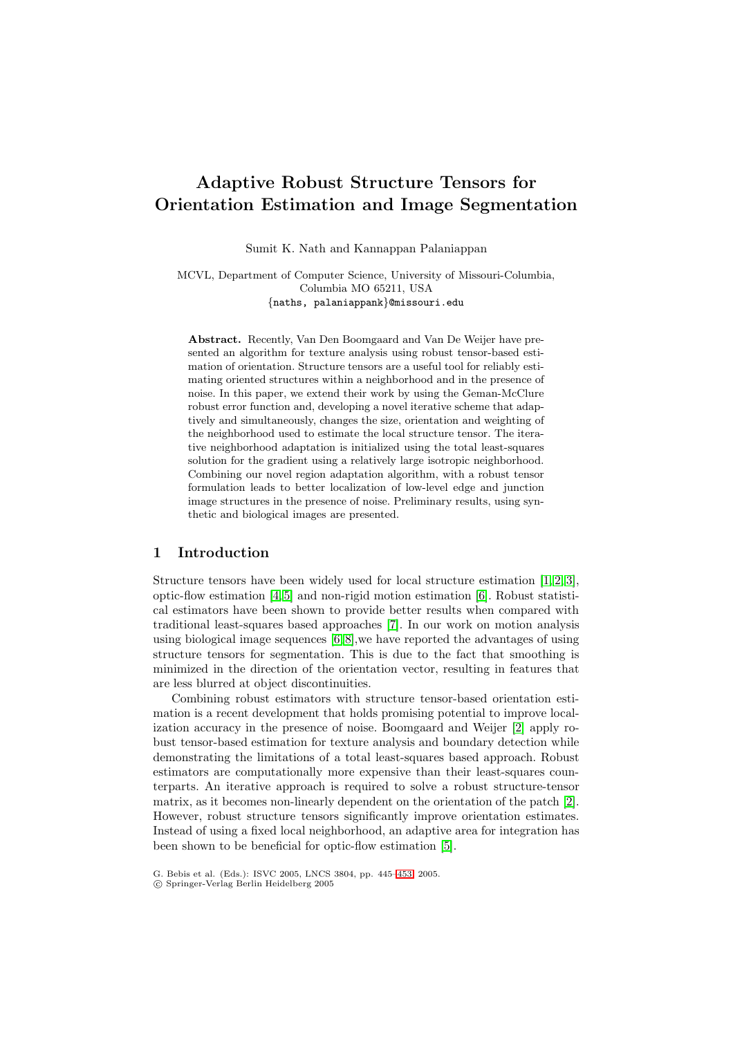# **Adaptive Robust Structure Tensors for Orientation Estimation and Image Segmentation**

Sumit K. Nath and Kannappan Palaniappan

MCVL, Department of Computer Science, University of Missouri-Columbia, Columbia MO 65211, USA {naths, palaniappank}@missouri.edu

**Abstract.** Recently, Van Den Boomgaard and Van De Weijer have presented an algorithm for texture analysis using robust tensor-based estimation of orientation. Structure tensors are a useful tool for reliably estimating oriented structures within a neighborhood and in the presence of noise. In this paper, we extend their work by using the Geman-McClure robust error function and, developing a novel iterative scheme that adaptively and simultaneously, changes the size, orientation and weighting of the neighborhood used to estimate the local structure tensor. The iterative neighborhood adaptation is initialized using the total least-squares solution for the gradient using a relatively large isotropic neighborhood. Combining our novel region adaptation algorithm, with a robust tensor formulation leads to better localization of low-level edge and junction image structures in the presence of noise. Preliminary results, using synthetic and biological images are presented.

## **1 Introduction**

Structure tensors have been widely used for local structure estimation [\[1,](#page-8-0)[2,](#page-8-1)[3\]](#page-8-2), optic-flow estimation [\[4,](#page-8-3)[5\]](#page-8-4) and non-rigid motion estimation [\[6\]](#page-8-5). Robust statistical estimators have been shown to provide better results when compared with traditional least-squares based approaches [\[7\]](#page-8-6). In our work on motion analysis using biological image sequences [\[6,](#page-8-5)[8\]](#page-8-7),we have reported the advantages of using structure tensors for segmentation. This is due to the fact that smoothing is minimized in the direction of the orientation vector, resulting in features that are less blurred at object discontinuities.

Combining robust estimators with structure tensor-based orientation estimation is a recent development that holds promising potential to improve localization accuracy in the presence of noise. Boomgaard and Weijer [\[2\]](#page-8-1) apply robust tensor-based estimation for texture analysis and boundary detection while demonstrating the limitations of a total least-squares based approach. Robust estimators are computationally more expensive than their least-squares counterparts. An iterative approach is required to solve a robust structure-tensor matrix, as it becomes non-linearly dependent on the orientation of the patch [\[2\]](#page-8-1). However, robust structure tensors significantly improve orientation estimates. Instead of using a fixed local neighborhood, an adaptive area for integration has been shown to be beneficial for optic-flow estimation [\[5\]](#page-8-4).

G. Bebis et al. (Eds.): ISVC 2005, LNCS 3804, pp. 445[–453,](#page-8-8) 2005.

c Springer-Verlag Berlin Heidelberg 2005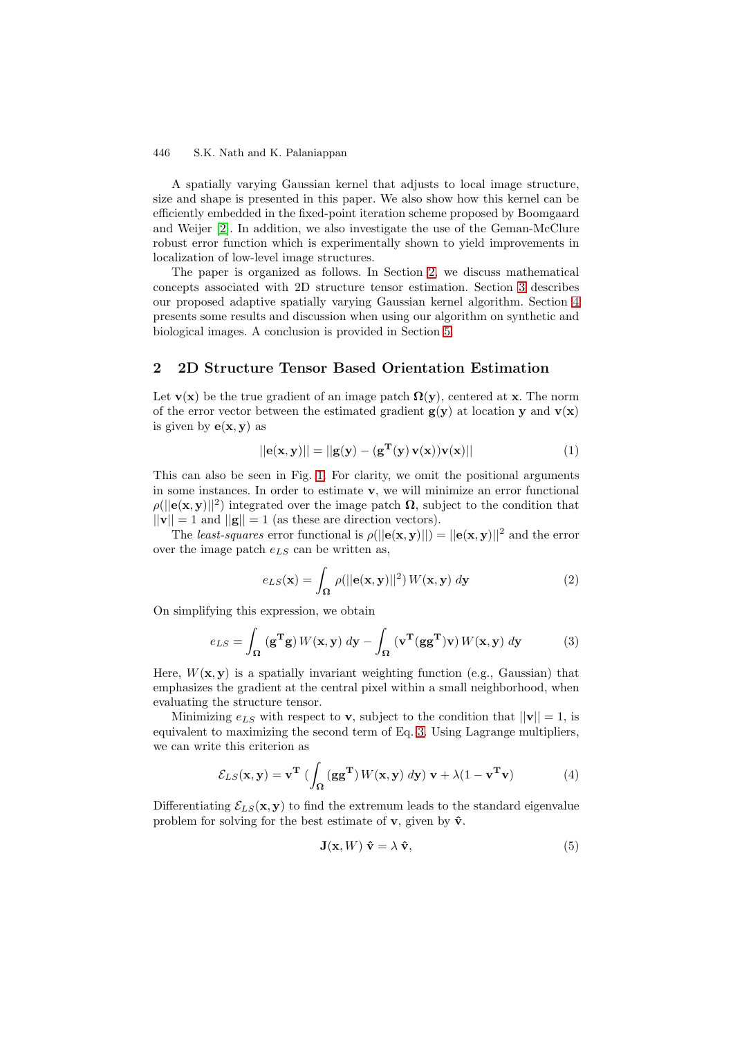A spatially varying Gaussian kernel that adjusts to local image structure, size and shape is presented in this paper. We also show how this kernel can be efficiently embedded in the fixed-point iteration scheme proposed by Boomgaard and Weijer [\[2\]](#page-8-1). In addition, we also investigate the use of the Geman-McClure robust error function which is experimentally shown to yield improvements in localization of low-level image structures.

The paper is organized as follows. In Section [2,](#page-1-0) we discuss mathematical concepts associated with 2D structure tensor estimation. Section [3](#page-3-0) describes our proposed adaptive spatially varying Gaussian kernel algorithm. Section [4](#page-5-0) presents some results and discussion when using our algorithm on synthetic and biological images. A conclusion is provided in Section [5.](#page-7-0)

## <span id="page-1-0"></span>**2 2D Structure Tensor Based Orientation Estimation**

Let **v**(**x**) be the true gradient of an image patch  $\Omega(y)$ , centered at **x**. The norm of the error vector between the estimated gradient  $g(y)$  at location **y** and  $v(x)$ is given by  $e(x, y)$  as

$$
||\mathbf{e}(\mathbf{x}, \mathbf{y})|| = ||\mathbf{g}(\mathbf{y}) - (\mathbf{g}^{\mathbf{T}}(\mathbf{y}) \mathbf{v}(\mathbf{x}))\mathbf{v}(\mathbf{x})|| \tag{1}
$$

This can also be seen in Fig. [1.](#page-2-0) For clarity, we omit the positional arguments in some instances. In order to estimate **v**, we will minimize an error functional  $\rho(||\mathbf{e}(\mathbf{x}, \mathbf{y})||^2)$  integrated over the image patch  $\Omega$ , subject to the condition that  $||\mathbf{v}|| = 1$  and  $||\mathbf{g}|| = 1$  (as these are direction vectors).

The least-squares error functional is  $\rho(||\mathbf{e}(\mathbf{x}, \mathbf{y})||) = ||\mathbf{e}(\mathbf{x}, \mathbf{y})||^2$  and the error over the image patch  $e_{LS}$  can be written as,

<span id="page-1-1"></span>
$$
e_{LS}(\mathbf{x}) = \int_{\Omega} \rho(||\mathbf{e}(\mathbf{x}, \mathbf{y})||^2) W(\mathbf{x}, \mathbf{y}) \, d\mathbf{y}
$$
 (2)

On simplifying this expression, we obtain

$$
e_{LS} = \int_{\Omega} (\mathbf{g}^{\mathbf{T}} \mathbf{g}) W(\mathbf{x}, \mathbf{y}) \, d\mathbf{y} - \int_{\Omega} (\mathbf{v}^{\mathbf{T}} (\mathbf{g} \mathbf{g}^{\mathbf{T}}) \mathbf{v}) W(\mathbf{x}, \mathbf{y}) \, d\mathbf{y}
$$
(3)

Here,  $W(\mathbf{x}, \mathbf{y})$  is a spatially invariant weighting function (e.g., Gaussian) that emphasizes the gradient at the central pixel within a small neighborhood, when evaluating the structure tensor.

Minimizing  $e_{LS}$  with respect to **v**, subject to the condition that  $||\mathbf{v}|| = 1$ , is equivalent to maximizing the second term of Eq. [3.](#page-1-1) Using Lagrange multipliers, we can write this criterion as

$$
\mathcal{E}_{LS}(\mathbf{x}, \mathbf{y}) = \mathbf{v}^{\mathbf{T}} \left( \int_{\Omega} (\mathbf{g} \mathbf{g}^{\mathbf{T}}) W(\mathbf{x}, \mathbf{y}) \, d\mathbf{y} \right) \mathbf{v} + \lambda (1 - \mathbf{v}^{\mathbf{T}} \mathbf{v}) \tag{4}
$$

Differentiating  $\mathcal{E}_{LS}(\mathbf{x}, \mathbf{y})$  to find the extremum leads to the standard eigenvalue problem for solving for the best estimate of **v**, given by  $\hat{\mathbf{v}}$ .

<span id="page-1-2"></span>
$$
\mathbf{J}(\mathbf{x}, W) \; \hat{\mathbf{v}} = \lambda \; \hat{\mathbf{v}}, \tag{5}
$$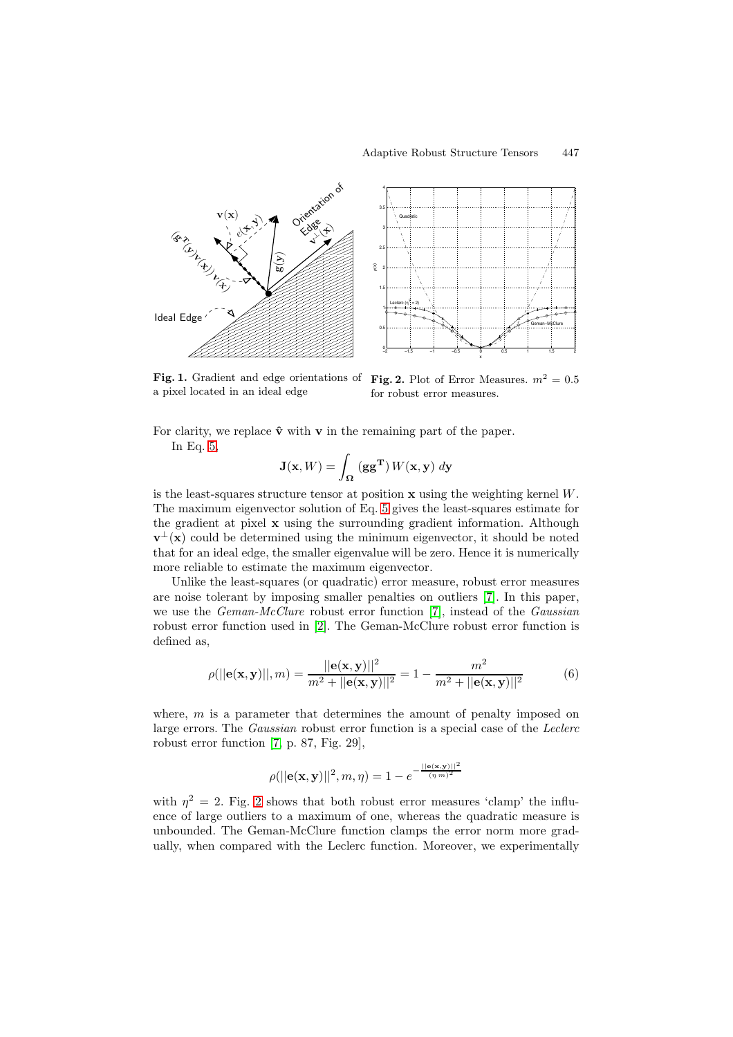

<span id="page-2-0"></span>**Fig. 1.** Gradient and edge orientations of **Fig. 2.** Plot of Error Measures.  $m^2 = 0.5$ a pixel located in an ideal edge

<span id="page-2-1"></span>for robust error measures.

For clarity, we replace  $\hat{\mathbf{v}}$  with **v** in the remaining part of the paper. In Eq. [5,](#page-1-2)

$$
\mathbf{J}(\mathbf{x}, W) = \int_{\Omega} (\mathbf{g} \mathbf{g}^{\mathbf{T}}) W(\mathbf{x}, \mathbf{y}) \, d\mathbf{y}
$$

is the least-squares structure tensor at position **x** using the weighting kernel W. The maximum eigenvector solution of Eq. [5](#page-1-2) gives the least-squares estimate for the gradient at pixel **x** using the surrounding gradient information. Although  $\mathbf{v}^{\perp}(\mathbf{x})$  could be determined using the minimum eigenvector, it should be noted that for an ideal edge, the smaller eigenvalue will be zero. Hence it is numerically more reliable to estimate the maximum eigenvector.

<span id="page-2-2"></span>Unlike the least-squares (or quadratic) error measure, robust error measures are noise tolerant by imposing smaller penalties on outliers [\[7\]](#page-8-6). In this paper, we use the *Geman-McClure* robust error function [\[7\]](#page-8-6), instead of the *Gaussian* robust error function used in [\[2\]](#page-8-1). The Geman-McClure robust error function is defined as,

$$
\rho(||\mathbf{e}(\mathbf{x}, \mathbf{y})||, m) = \frac{||\mathbf{e}(\mathbf{x}, \mathbf{y})||^2}{m^2 + ||\mathbf{e}(\mathbf{x}, \mathbf{y})||^2} = 1 - \frac{m^2}{m^2 + ||\mathbf{e}(\mathbf{x}, \mathbf{y})||^2}
$$
(6)

where,  $m$  is a parameter that determines the amount of penalty imposed on large errors. The Gaussian robust error function is a special case of the Leclerc robust error function [\[7,](#page-8-6) p. 87, Fig. 29],

$$
\rho(||\mathbf{e}(\mathbf{x}, \mathbf{y})||^2, m, \eta) = 1 - e^{-\frac{||\mathbf{e}(\mathbf{x}, \mathbf{y})||^2}{(\eta m)^2}}
$$

with  $\eta^2 = 2$  $\eta^2 = 2$ . Fig. 2 shows that both robust error measures 'clamp' the influence of large outliers to a maximum of one, whereas the quadratic measure is unbounded. The Geman-McClure function clamps the error norm more gradually, when compared with the Leclerc function. Moreover, we experimentally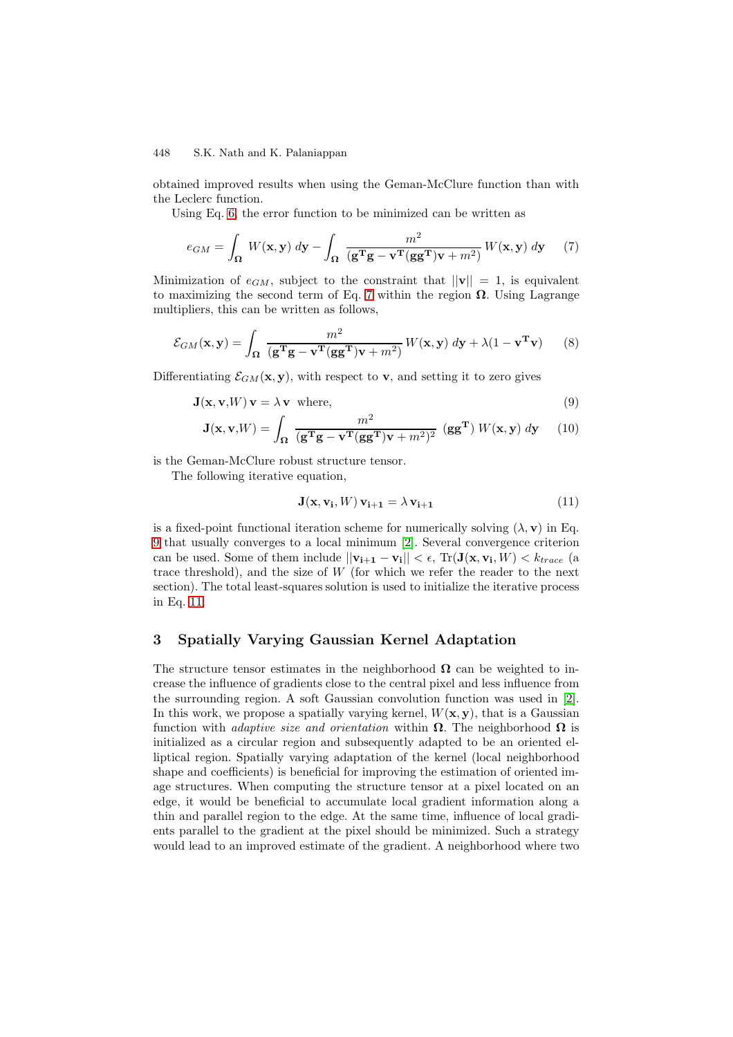obtained improved results when using the Geman-McClure function than with the Leclerc function.

Using Eq. [6,](#page-2-2) the error function to be minimized can be written as

<span id="page-3-1"></span>
$$
e_{GM} = \int_{\Omega} W(\mathbf{x}, \mathbf{y}) \, d\mathbf{y} - \int_{\Omega} \frac{m^2}{(\mathbf{g}^{\mathbf{T}}\mathbf{g} - \mathbf{v}^{\mathbf{T}}(\mathbf{g}\mathbf{g}^{\mathbf{T}})\mathbf{v} + m^2)} W(\mathbf{x}, \mathbf{y}) \, d\mathbf{y} \tag{7}
$$

Minimization of  $e_{GM}$ , subject to the constraint that  $||\mathbf{v}|| = 1$ , is equivalent to maximizing the second term of Eq. [7](#page-3-1) within the region  $\Omega$ . Using Lagrange multipliers, this can be written as follows,

$$
\mathcal{E}_{GM}(\mathbf{x}, \mathbf{y}) = \int_{\Omega} \frac{m^2}{(\mathbf{g}^T \mathbf{g} - \mathbf{v}^T (\mathbf{g} \mathbf{g}^T) \mathbf{v} + m^2)} W(\mathbf{x}, \mathbf{y}) \, d\mathbf{y} + \lambda (1 - \mathbf{v}^T \mathbf{v}) \tag{8}
$$

<span id="page-3-2"></span>Differentiating  $\mathcal{E}_{GM}(\mathbf{x}, \mathbf{y})$ , with respect to **v**, and setting it to zero gives

$$
\mathbf{J}(\mathbf{x}, \mathbf{v}, W) \mathbf{v} = \lambda \mathbf{v} \text{ where},
$$
\n(9)

$$
\mathbf{J}(\mathbf{x}, \mathbf{v}, W) = \int_{\Omega} \frac{m^2}{(\mathbf{g}^T \mathbf{g} - \mathbf{v}^T (\mathbf{g} \mathbf{g}^T) \mathbf{v} + m^2)^2} (\mathbf{g} \mathbf{g}^T) W(\mathbf{x}, \mathbf{y}) d\mathbf{y}
$$
(10)

is the Geman-McClure robust structure tensor.

The following iterative equation,

<span id="page-3-3"></span>
$$
\mathbf{J}(\mathbf{x}, \mathbf{v_i}, W) \mathbf{v_{i+1}} = \lambda \mathbf{v_{i+1}} \tag{11}
$$

is a fixed-point functional iteration scheme for numerically solving  $(\lambda, \mathbf{v})$  in Eq. [9](#page-3-2) that usually converges to a local minimum [\[2\]](#page-8-1). Several convergence criterion can be used. Some of them include  $||\mathbf{v}_{i+1} - \mathbf{v}_i|| < \epsilon$ , Tr( $\mathbf{J}(\mathbf{x}, \mathbf{v}_i, W) < k_{trace}$  (a trace threshold), and the size of  $W$  (for which we refer the reader to the next section). The total least-squares solution is used to initialize the iterative process in Eq. [11.](#page-3-3)

# <span id="page-3-0"></span>**3 Spatially Varying Gaussian Kernel Adaptation**

The structure tensor estimates in the neighborhood  $\Omega$  can be weighted to increase the influence of gradients close to the central pixel and less influence from the surrounding region. A soft Gaussian convolution function was used in [\[2\]](#page-8-1). In this work, we propose a spatially varying kernel,  $W(\mathbf{x}, \mathbf{y})$ , that is a Gaussian function with *adaptive size and orientation* within  $\Omega$ . The neighborhood  $\Omega$  is initialized as a circular region and subsequently adapted to be an oriented elliptical region. Spatially varying adaptation of the kernel (local neighborhood shape and coefficients) is beneficial for improving the estimation of oriented image structures. When computing the structure tensor at a pixel located on an edge, it would be beneficial to accumulate local gradient information along a thin and parallel region to the edge. At the same time, influence of local gradients parallel to the gradient at the pixel should be minimized. Such a strategy would lead to an improved estimate of the gradient. A neighborhood where two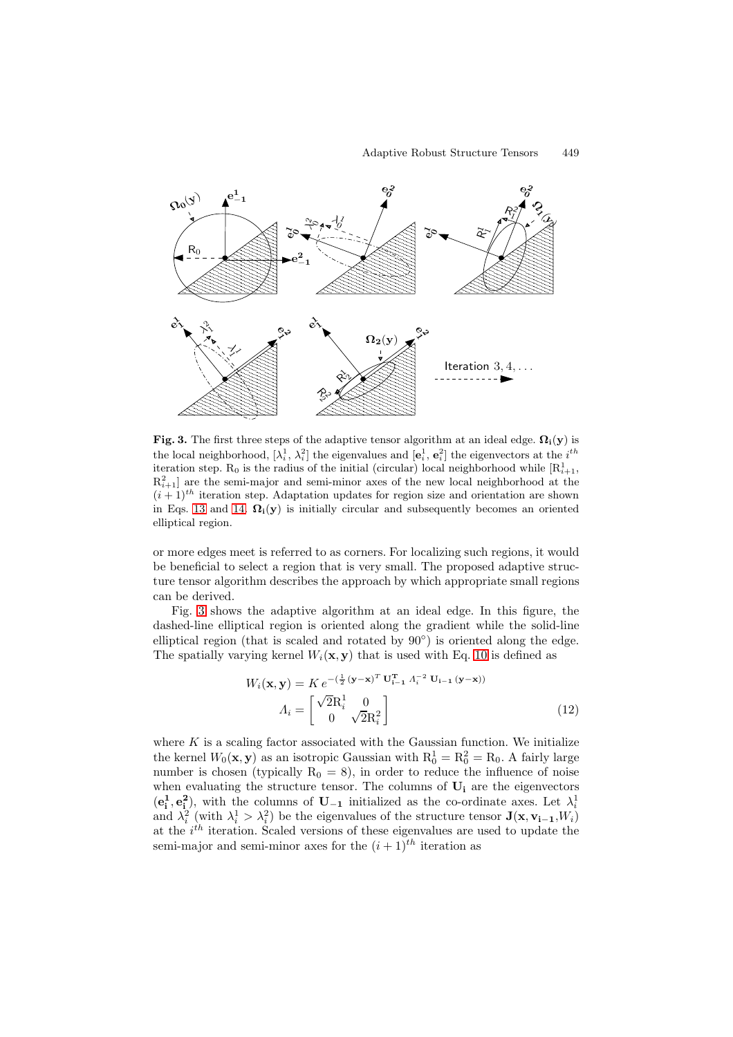

<span id="page-4-1"></span>**Fig. 3.** The first three steps of the adaptive tensor algorithm at an ideal edge.  $\Omega_i(y)$  is the local neighborhood,  $[\lambda_i^1, \lambda_i^2]$  the eigenvalues and  $[\mathbf{e}_i^1, \mathbf{e}_i^2]$  the eigenvectors at the  $i^{th}$ iteration step.  $R_0$  is the radius of the initial (circular) local neighborhood while  $[R_{i+1}^1,$  $R_{i+1}^2$  are the semi-major and semi-minor axes of the new local neighborhood at the  $(i+1)^{th}$  iteration step. Adaptation updates for region size and orientation are shown in Eqs. [13](#page-4-0) and [14.](#page-5-1)  $\Omega_i(y)$  is initially circular and subsequently becomes an oriented elliptical region.

or more edges meet is referred to as corners. For localizing such regions, it would be beneficial to select a region that is very small. The proposed adaptive structure tensor algorithm describes the approach by which appropriate small regions can be derived.

Fig. [3](#page-4-1) shows the adaptive algorithm at an ideal edge. In this figure, the dashed-line elliptical region is oriented along the gradient while the solid-line elliptical region (that is scaled and rotated by  $90°$ ) is oriented along the edge. The spatially varying kernel  $W_i(\mathbf{x}, \mathbf{y})$  that is used with Eq. [10](#page-3-2) is defined as

<span id="page-4-0"></span>
$$
W_i(\mathbf{x}, \mathbf{y}) = K e^{-\left(\frac{1}{2} (\mathbf{y} - \mathbf{x})^T \mathbf{U}_{i-1}^{\mathrm{T}} \Lambda_i^{-2} \mathbf{U}_{i-1} (\mathbf{y} - \mathbf{x})\right)}
$$

$$
A_i = \begin{bmatrix} \sqrt{2} R_i^1 & 0\\ 0 & \sqrt{2} R_i^2 \end{bmatrix}
$$
(12)

<span id="page-4-2"></span>where  $K$  is a scaling factor associated with the Gaussian function. We initialize the kernel  $W_0(\mathbf{x}, \mathbf{y})$  as an isotropic Gaussian with  $R_0^1 = R_0^2 = R_0$ . A fairly large number is chosen (typically  $R_0 = 8$ ), in order to reduce the influence of noise when evaluating the structure tensor. The columns of **U<sup>i</sup>** are the eigenvectors  $(e_i^1, e_i^2)$ , with the columns of  $U_{-1}$  initialized as the co-ordinate axes. Let  $\lambda_i^1$ and  $\lambda_i^2$  (with  $\lambda_i^1 > \lambda_i^2$ ) be the eigenvalues of the structure tensor **J**(**x**, **v**<sub>i-1</sub>, *W<sub>i</sub>*) at the  $i^{th}$  iteration. Scaled versions of these eigenvalues are used to update the semi-major and semi-minor axes for the  $(i + 1)^{th}$  iteration as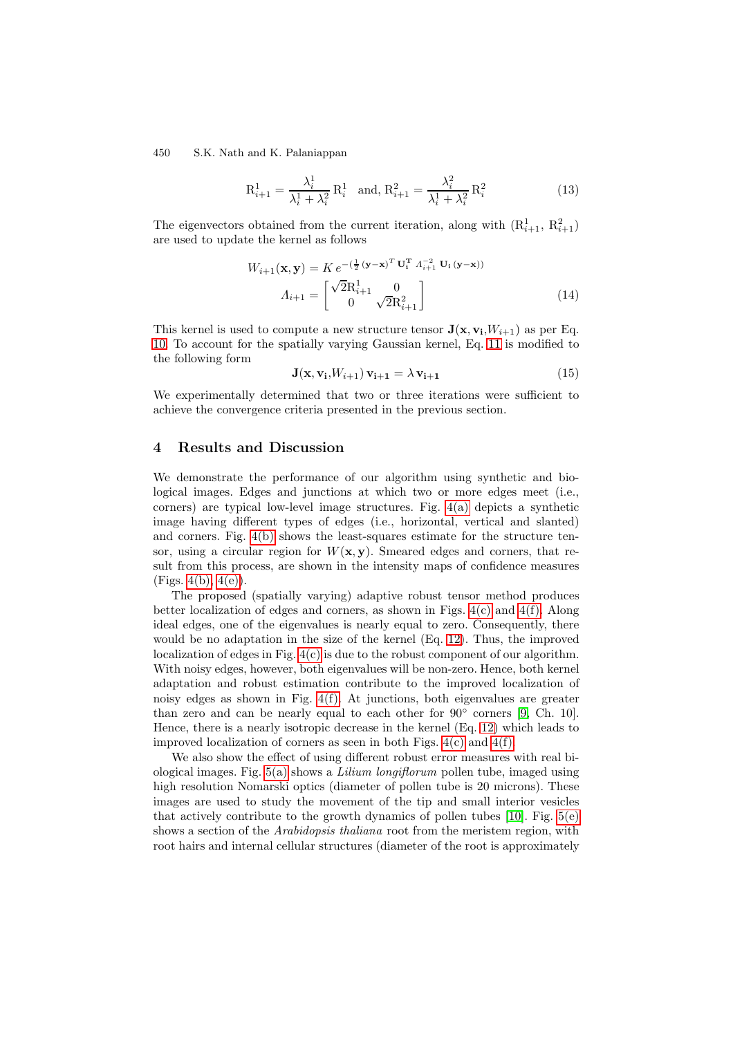$$
R_{i+1}^1 = \frac{\lambda_i^1}{\lambda_i^1 + \lambda_i^2} R_i^1 \text{ and, } R_{i+1}^2 = \frac{\lambda_i^2}{\lambda_i^1 + \lambda_i^2} R_i^2 \tag{13}
$$

<span id="page-5-1"></span>The eigenvectors obtained from the current iteration, along with  $(R_{i+1}^1, R_{i+1}^2)$ are used to update the kernel as follows

$$
W_{i+1}(\mathbf{x}, \mathbf{y}) = K e^{-\left(\frac{1}{2} (\mathbf{y} - \mathbf{x})^T \mathbf{U}_i^T \ A_{i+1}^{-2} \mathbf{U}_i (\mathbf{y} - \mathbf{x})\right)}
$$

$$
A_{i+1} = \begin{bmatrix} \sqrt{2} R_{i+1}^1 & 0\\ 0 & \sqrt{2} R_{i+1}^2 \end{bmatrix}
$$
(14)

This kernel is used to compute a new structure tensor  $\mathbf{J}(\mathbf{x}, \mathbf{v_i}, W_{i+1})$  as per Eq. [10.](#page-3-2) To account for the spatially varying Gaussian kernel, Eq. [11](#page-3-3) is modified to the following form

$$
\mathbf{J}(\mathbf{x}, \mathbf{v_i}, W_{i+1}) \mathbf{v_{i+1}} = \lambda \mathbf{v_{i+1}} \tag{15}
$$

We experimentally determined that two or three iterations were sufficient to achieve the convergence criteria presented in the previous section.

### <span id="page-5-0"></span>**4 Results and Discussion**

We demonstrate the performance of our algorithm using synthetic and biological images. Edges and junctions at which two or more edges meet (i.e., corners) are typical low-level image structures. Fig. [4\(a\)](#page-6-0) depicts a synthetic image having different types of edges (i.e., horizontal, vertical and slanted) and corners. Fig.  $4(b)$  shows the least-squares estimate for the structure tensor, using a circular region for  $W(\mathbf{x}, \mathbf{y})$ . Smeared edges and corners, that result from this process, are shown in the intensity maps of confidence measures (Figs.  $4(b)$ ,  $4(e)$ ).

The proposed (spatially varying) adaptive robust tensor method produces better localization of edges and corners, as shown in Figs.  $4(c)$  and  $4(f)$ . Along ideal edges, one of the eigenvalues is nearly equal to zero. Consequently, there would be no adaptation in the size of the kernel (Eq. [12\)](#page-4-2). Thus, the improved localization of edges in Fig. [4\(c\)](#page-6-3) is due to the robust component of our algorithm. With noisy edges, however, both eigenvalues will be non-zero. Hence, both kernel adaptation and robust estimation contribute to the improved localization of noisy edges as shown in Fig. [4\(f\).](#page-6-4) At junctions, both eigenvalues are greater than zero and can be nearly equal to each other for  $90°$  corners [\[9,](#page-8-9) Ch. 10]. Hence, there is a nearly isotropic decrease in the kernel (Eq. [12\)](#page-4-2) which leads to improved localization of corners as seen in both Figs.  $4(c)$  and  $4(f)$ .

We also show the effect of using different robust error measures with real biological images. Fig. [5\(a\)](#page-7-1) shows a Lilium longiflorum pollen tube, imaged using high resolution Nomarski optics (diameter of pollen tube is 20 microns). These images are used to study the movement of the tip and small interior vesicles that actively contribute to the growth dynamics of pollen tubes  $[10]$ . Fig.  $5(e)$ shows a section of the Arabidopsis thaliana root from the meristem region, with root hairs and internal cellular structures (diameter of the root is approximately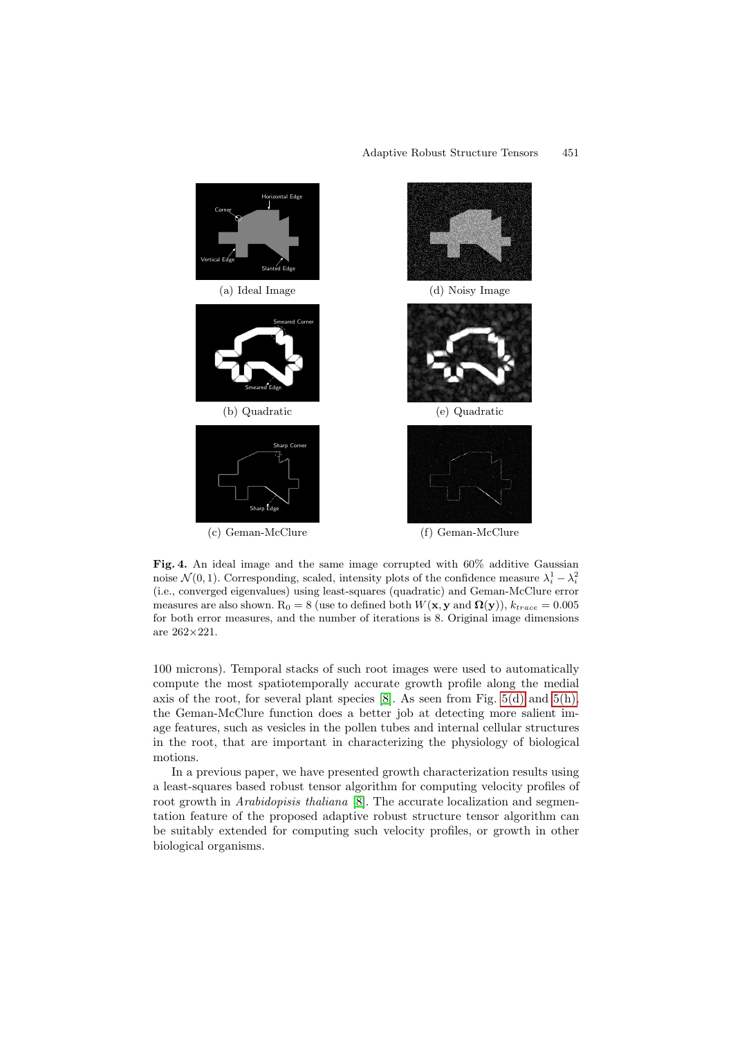<span id="page-6-0"></span>

<span id="page-6-4"></span><span id="page-6-3"></span><span id="page-6-2"></span><span id="page-6-1"></span>Fig. 4. An ideal image and the same image corrupted with  $60\%$  additive Gaussian noise  $\mathcal{N}(0, 1)$ . Corresponding, scaled, intensity plots of the confidence measure  $\lambda_i^1 - \lambda_i^2$ (i.e., converged eigenvalues) using least-squares (quadratic) and Geman-McClure error measures are also shown.  $R_0 = 8$  (use to defined both  $W(\mathbf{x}, \mathbf{y})$  and  $\Omega(\mathbf{y})$ ),  $k_{trace} = 0.005$ for both error measures, and the number of iterations is 8. Original image dimensions are 262×221.

100 microns). Temporal stacks of such root images were used to automatically compute the most spatiotemporally accurate growth profile along the medial axis of the root, for several plant species  $[8]$ . As seen from Fig. [5\(d\)](#page-7-3) and [5\(h\),](#page-7-4) the Geman-McClure function does a better job at detecting more salient image features, such as vesicles in the pollen tubes and internal cellular structures in the root, that are important in characterizing the physiology of biological motions.

In a previous paper, we have presented growth characterization results using a least-squares based robust tensor algorithm for computing velocity profiles of root growth in *Arabidopisis thaliana* [\[8\]](#page-8-7). The accurate localization and segmentation feature of the proposed adaptive robust structure tensor algorithm can be suitably extended for computing such velocity profiles, or growth in other biological organisms.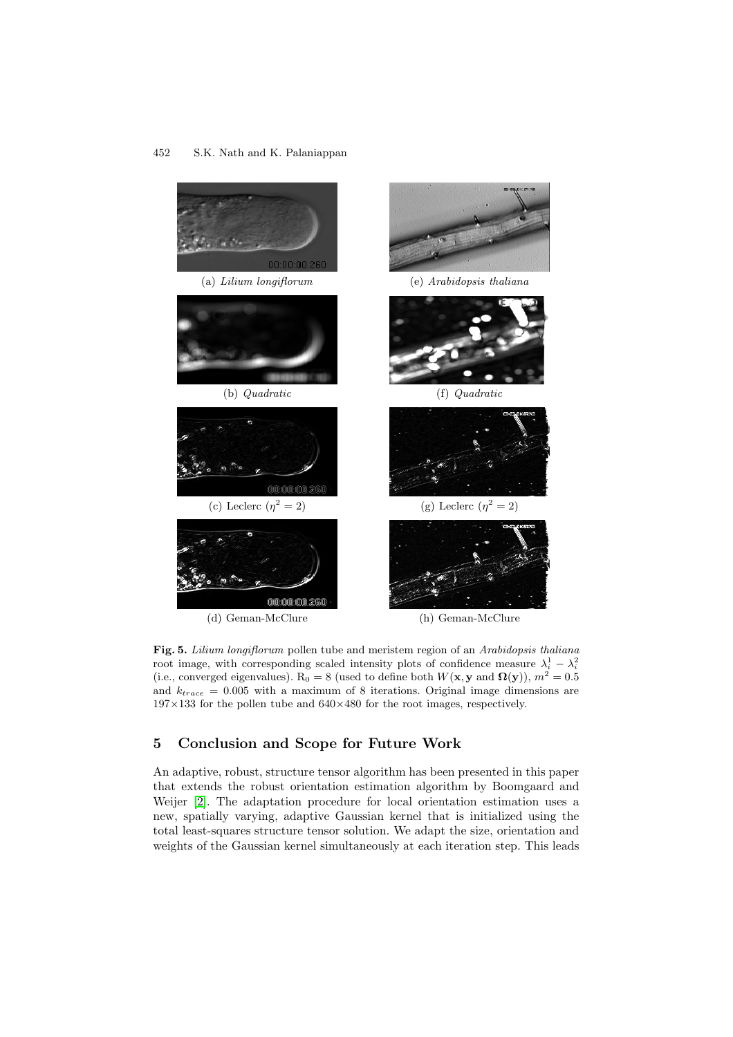<span id="page-7-2"></span><span id="page-7-1"></span>

<span id="page-7-4"></span><span id="page-7-3"></span>**Fig. 5.** Lilium longiflorum pollen tube and meristem region of an Arabidopsis thaliana root image, with corresponding scaled intensity plots of confidence measure  $\lambda_i^1 - \lambda_i^2$ (i.e., converged eigenvalues). R<sub>0</sub> = 8 (used to define both  $W(\mathbf{x}, \mathbf{y})$  and  $\mathbf{\Omega}(\mathbf{y})$ ),  $m^2 = 0.5$ and  $k_{trace} = 0.005$  with a maximum of 8 iterations. Original image dimensions are  $197\times133$  for the pollen tube and  $640\times480$  for the root images, respectively.

# <span id="page-7-0"></span>**5 Conclusion and Scope for Future Work**

An adaptive, robust, structure tensor algorithm has been presented in this paper that extends the robust orientation estimation algorithm by Boomgaard and Weijer [\[2\]](#page-8-1). The adaptation procedure for local orientation estimation uses a new, spatially varying, adaptive Gaussian kernel that is initialized using the total least-squares structure tensor solution. We adapt the size, orientation and weights of the Gaussian kernel simultaneously at each iteration step. This leads